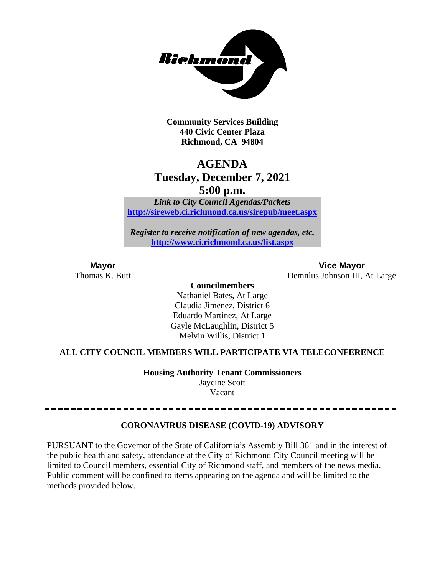

**Community Services Building 440 Civic Center Plaza Richmond, CA 94804**

## **AGENDA Tuesday, December 7, 2021 5:00 p.m.**

*Link to City Council Agendas/Packets* **<http://sireweb.ci.richmond.ca.us/sirepub/meet.aspx>**

*Register to receive notification of new agendas, etc.* **<http://www.ci.richmond.ca.us/list.aspx>**

**Mayor Vice Mayor**<br>Thomas K. Butt **Conserverse Conserverse Conserverse Conserverse Conserverse Conserverse Conserverse Conserverse Conserverse Conserverse Conserverse Conserverse Conserverse Conserverse Conserverse Conse** Demnlus Johnson III, At Large

**Councilmembers**

Nathaniel Bates, At Large Claudia Jimenez, District 6 Eduardo Martinez, At Large Gayle McLaughlin, District 5 Melvin Willis, District 1

## **ALL CITY COUNCIL MEMBERS WILL PARTICIPATE VIA TELECONFERENCE**

**Housing Authority Tenant Commissioners** Jaycine Scott Vacant

## **CORONAVIRUS DISEASE (COVID-19) ADVISORY**

PURSUANT to the Governor of the State of California's Assembly Bill 361 and in the interest of the public health and safety, attendance at the City of Richmond City Council meeting will be limited to Council members, essential City of Richmond staff, and members of the news media. Public comment will be confined to items appearing on the agenda and will be limited to the methods provided below.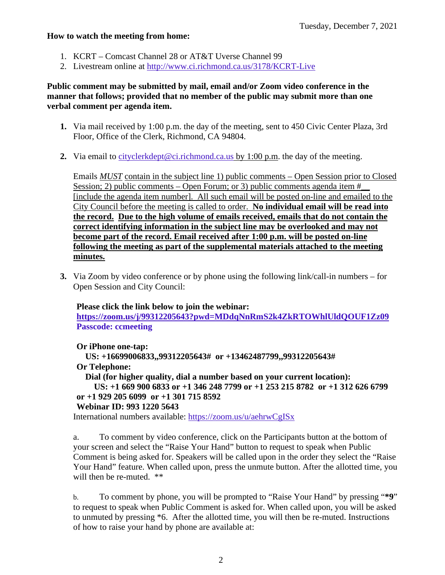#### **How to watch the meeting from home:**

- 1. KCRT Comcast Channel 28 or AT&T Uverse Channel 99
- 2. Livestream online at<http://www.ci.richmond.ca.us/3178/KCRT-Live>

## **Public comment may be submitted by mail, email and/or Zoom video conference in the manner that follows; provided that no member of the public may submit more than one verbal comment per agenda item.**

- **1.** Via mail received by 1:00 p.m. the day of the meeting, sent to 450 Civic Center Plaza, 3rd Floor, Office of the Clerk, Richmond, CA 94804.
- **2.** Via email to [cityclerkdept@ci.richmond.ca.us](mailto:cityclerkdept@ci.richmond.ca.us) by 1:00 p.m. the day of the meeting.

Emails *MUST* contain in the subject line 1) public comments – Open Session prior to Closed Session; 2) public comments – Open Forum; or 3) public comments agenda item  $#$ [include the agenda item number]. All such email will be posted on-line and emailed to the City Council before the meeting is called to order. **No individual email will be read into the record. Due to the high volume of emails received, emails that do not contain the correct identifying information in the subject line may be overlooked and may not become part of the record. Email received after 1:00 p.m. will be posted on-line following the meeting as part of the supplemental materials attached to the meeting minutes.**

**3.** Via Zoom by video conference or by phone using the following link/call-in numbers – for Open Session and City Council:

## **Please click the link below to join the webinar:**

**<https://zoom.us/j/99312205643?pwd=MDdqNnRmS2k4ZkRTOWhlUldQOUF1Zz09> Passcode: ccmeeting**

**Or iPhone one-tap:**

**US: +16699006833,,99312205643# or +13462487799,,99312205643#**

#### **Or Telephone:**

**Dial (for higher quality, dial a number based on your current location):**

```
US: +1 669 900 6833 or +1 346 248 7799 or +1 253 215 8782 or +1 312 626 6799
or +1 929 205 6099 or +1 301 715 8592
```
#### **Webinar ID: 993 1220 5643**

International numbers available: <https://zoom.us/u/aehrwCgISx>

a. To comment by video conference, click on the Participants button at the bottom of your screen and select the "Raise Your Hand" button to request to speak when Public Comment is being asked for. Speakers will be called upon in the order they select the "Raise Your Hand" feature. When called upon, press the unmute button. After the allotted time, you will then be re-muted.  $**$ 

b. To comment by phone, you will be prompted to "Raise Your Hand" by pressing "**\*9**" to request to speak when Public Comment is asked for. When called upon, you will be asked to unmuted by pressing \*6. After the allotted time, you will then be re-muted. Instructions of how to raise your hand by phone are available at: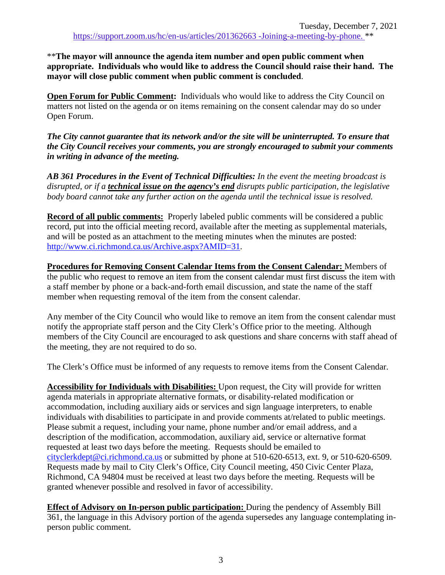\*\***The mayor will announce the agenda item number and open public comment when appropriate. Individuals who would like to address the Council should raise their hand. The mayor will close public comment when public comment is concluded**.

**Open Forum for Public Comment:** Individuals who would like to address the City Council on matters not listed on the agenda or on items remaining on the consent calendar may do so under Open Forum.

*The City cannot guarantee that its network and/or the site will be uninterrupted. To ensure that the City Council receives your comments, you are strongly encouraged to submit your comments in writing in advance of the meeting.* 

*AB 361 Procedures in the Event of Technical Difficulties: In the event the meeting broadcast is disrupted, or if a technical issue on the agency's end disrupts public participation, the legislative body board cannot take any further action on the agenda until the technical issue is resolved.*

**Record of all public comments:** Properly labeled public comments will be considered a public record, put into the official meeting record, available after the meeting as supplemental materials, and will be posted as an attachment to the meeting minutes when the minutes are posted: [http://www.ci.richmond.ca.us/Archive.aspx?AMID=31.](http://www.ci.richmond.ca.us/Archive.aspx?AMID=31)

**Procedures for Removing Consent Calendar Items from the Consent Calendar:** Members of the public who request to remove an item from the consent calendar must first discuss the item with a staff member by phone or a back-and-forth email discussion, and state the name of the staff member when requesting removal of the item from the consent calendar.

Any member of the City Council who would like to remove an item from the consent calendar must notify the appropriate staff person and the City Clerk's Office prior to the meeting. Although members of the City Council are encouraged to ask questions and share concerns with staff ahead of the meeting, they are not required to do so.

The Clerk's Office must be informed of any requests to remove items from the Consent Calendar.

**Accessibility for Individuals with Disabilities:** Upon request, the City will provide for written agenda materials in appropriate alternative formats, or disability-related modification or accommodation, including auxiliary aids or services and sign language interpreters, to enable individuals with disabilities to participate in and provide comments at/related to public meetings. Please submit a request, including your name, phone number and/or email address, and a description of the modification, accommodation, auxiliary aid, service or alternative format requested at least two days before the meeting. Requests should be emailed to [cityclerkdept@ci.richmond.ca.us](mailto:cityclerkdept@ci.richmond.ca.us) or submitted by phone at 510-620-6513, ext. 9, or 510-620-6509. Requests made by mail to City Clerk's Office, City Council meeting, 450 Civic Center Plaza, Richmond, CA 94804 must be received at least two days before the meeting. Requests will be granted whenever possible and resolved in favor of accessibility.

**Effect of Advisory on In-person public participation:** During the pendency of Assembly Bill 361, the language in this Advisory portion of the agenda supersedes any language contemplating inperson public comment.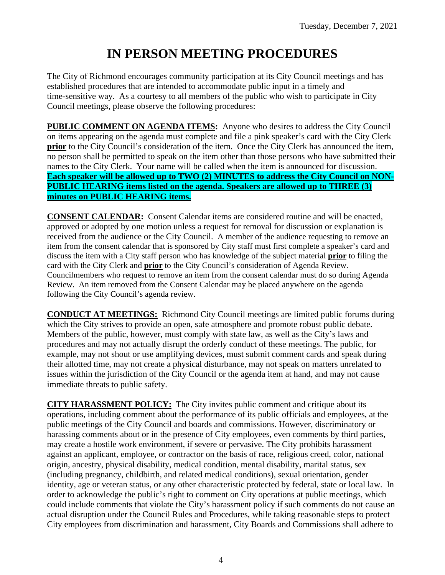# **IN PERSON MEETING PROCEDURES**

The City of Richmond encourages community participation at its City Council meetings and has established procedures that are intended to accommodate public input in a timely and time-sensitive way. As a courtesy to all members of the public who wish to participate in City Council meetings, please observe the following procedures:

**PUBLIC COMMENT ON AGENDA ITEMS:** Anyone who desires to address the City Council on items appearing on the agenda must complete and file a pink speaker's card with the City Clerk **prior** to the City Council's consideration of the item. Once the City Clerk has announced the item, no person shall be permitted to speak on the item other than those persons who have submitted their names to the City Clerk. Your name will be called when the item is announced for discussion. **Each speaker will be allowed up to TWO (2) MINUTES to address the City Council on NON-PUBLIC HEARING items listed on the agenda. Speakers are allowed up to THREE (3) minutes on PUBLIC HEARING items.**

**CONSENT CALENDAR:** Consent Calendar items are considered routine and will be enacted, approved or adopted by one motion unless a request for removal for discussion or explanation is received from the audience or the City Council. A member of the audience requesting to remove an item from the consent calendar that is sponsored by City staff must first complete a speaker's card and discuss the item with a City staff person who has knowledge of the subject material **prior** to filing the card with the City Clerk and **prior** to the City Council's consideration of Agenda Review. Councilmembers who request to remove an item from the consent calendar must do so during Agenda Review. An item removed from the Consent Calendar may be placed anywhere on the agenda following the City Council's agenda review.

**CONDUCT AT MEETINGS:** Richmond City Council meetings are limited public forums during which the City strives to provide an open, safe atmosphere and promote robust public debate. Members of the public, however, must comply with state law, as well as the City's laws and procedures and may not actually disrupt the orderly conduct of these meetings. The public, for example, may not shout or use amplifying devices, must submit comment cards and speak during their allotted time, may not create a physical disturbance, may not speak on matters unrelated to issues within the jurisdiction of the City Council or the agenda item at hand, and may not cause immediate threats to public safety.

**CITY HARASSMENT POLICY:** The City invites public comment and critique about its operations, including comment about the performance of its public officials and employees, at the public meetings of the City Council and boards and commissions. However, discriminatory or harassing comments about or in the presence of City employees, even comments by third parties, may create a hostile work environment, if severe or pervasive. The City prohibits harassment against an applicant, employee, or contractor on the basis of race, religious creed, color, national origin, ancestry, physical disability, medical condition, mental disability, marital status, sex (including pregnancy, childbirth, and related medical conditions), sexual orientation, gender identity, age or veteran status, or any other characteristic protected by federal, state or local law. In order to acknowledge the public's right to comment on City operations at public meetings, which could include comments that violate the City's harassment policy if such comments do not cause an actual disruption under the Council Rules and Procedures, while taking reasonable steps to protect City employees from discrimination and harassment, City Boards and Commissions shall adhere to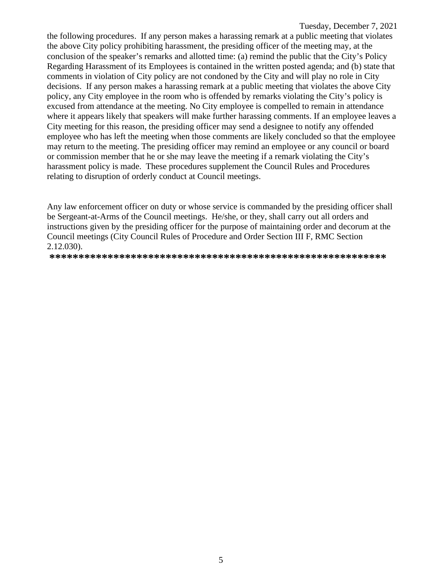the following procedures. If any person makes a harassing remark at a public meeting that violates the above City policy prohibiting harassment, the presiding officer of the meeting may, at the conclusion of the speaker's remarks and allotted time: (a) remind the public that the City's Policy Regarding Harassment of its Employees is contained in the written posted agenda; and (b) state that comments in violation of City policy are not condoned by the City and will play no role in City decisions. If any person makes a harassing remark at a public meeting that violates the above City policy, any City employee in the room who is offended by remarks violating the City's policy is excused from attendance at the meeting. No City employee is compelled to remain in attendance where it appears likely that speakers will make further harassing comments. If an employee leaves a City meeting for this reason, the presiding officer may send a designee to notify any offended employee who has left the meeting when those comments are likely concluded so that the employee may return to the meeting. The presiding officer may remind an employee or any council or board or commission member that he or she may leave the meeting if a remark violating the City's harassment policy is made. These procedures supplement the Council Rules and Procedures relating to disruption of orderly conduct at Council meetings.

Any law enforcement officer on duty or whose service is commanded by the presiding officer shall be Sergeant-at-Arms of the Council meetings. He/she, or they, shall carry out all orders and instructions given by the presiding officer for the purpose of maintaining order and decorum at the Council meetings (City Council Rules of Procedure and Order Section III F, RMC Section 2.12.030).

**\*\*\*\*\*\*\*\*\*\*\*\*\*\*\*\*\*\*\*\*\*\*\*\*\*\*\*\*\*\*\*\*\*\*\*\*\*\*\*\*\*\*\*\*\*\*\*\*\*\*\*\*\*\*\*\*\*\***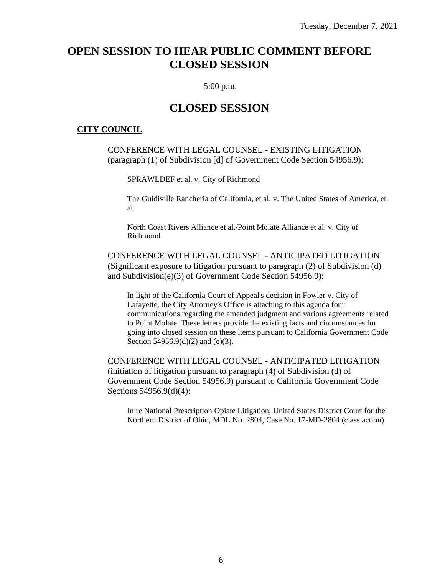## **OPEN SESSION TO HEAR PUBLIC COMMENT BEFORE CLOSED SESSION**

#### 5:00 p.m.

## **CLOSED SESSION**

#### **CITY COUNCIL**

CONFERENCE WITH LEGAL COUNSEL - EXISTING LITIGATION (paragraph (1) of Subdivision [d] of Government Code Section 54956.9):

SPRAWLDEF et al. v. City of Richmond

The Guidiville Rancheria of California, et al. v. The United States of America, et. al.

North Coast Rivers Alliance et al./Point Molate Alliance et al. v. City of Richmond

CONFERENCE WITH LEGAL COUNSEL - ANTICIPATED LITIGATION (Significant exposure to litigation pursuant to paragraph (2) of Subdivision (d) and Subdivision(e)(3) of Government Code Section 54956.9):

In light of the California Court of Appeal's decision in Fowler v. City of Lafayette, the City Attorney's Office is attaching to this agenda four communications regarding the amended judgment and various agreements related to Point Molate. These letters provide the existing facts and circumstances for going into closed session on these items pursuant to California Government Code Section 54956.9(d)(2) and (e)(3).

CONFERENCE WITH LEGAL COUNSEL - ANTICIPATED LITIGATION (initiation of litigation pursuant to paragraph (4) of Subdivision (d) of Government Code Section 54956.9) pursuant to California Government Code Sections 54956.9(d)(4):

In re National Prescription Opiate Litigation, United States District Court for the Northern District of Ohio, MDL No. 2804, Case No. 17-MD-2804 (class action).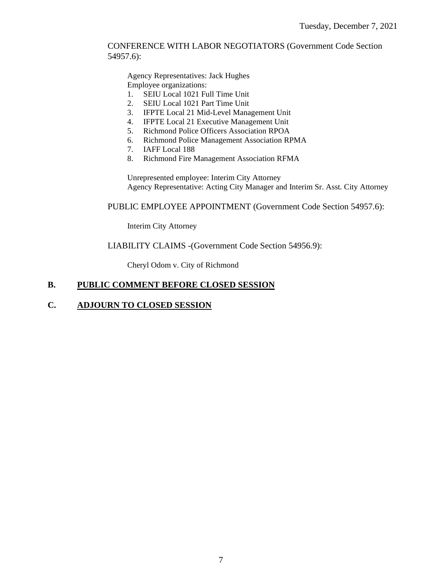#### CONFERENCE WITH LABOR NEGOTIATORS (Government Code Section 54957.6):

Agency Representatives: Jack Hughes Employee organizations:

- 1. SEIU Local 1021 Full Time Unit
- 2. SEIU Local 1021 Part Time Unit
- 3. IFPTE Local 21 Mid-Level Management Unit
- 4. IFPTE Local 21 Executive Management Unit
- 5. Richmond Police Officers Association RPOA
- 6. Richmond Police Management Association RPMA
- 7. IAFF Local 188
- 8. Richmond Fire Management Association RFMA

Unrepresented employee: Interim City Attorney Agency Representative: Acting City Manager and Interim Sr. Asst. City Attorney

PUBLIC EMPLOYEE APPOINTMENT (Government Code Section 54957.6):

Interim City Attorney

LIABILITY CLAIMS -(Government Code Section 54956.9):

Cheryl Odom v. City of Richmond

## **B. PUBLIC COMMENT BEFORE CLOSED SESSION**

#### **C. ADJOURN TO CLOSED SESSION**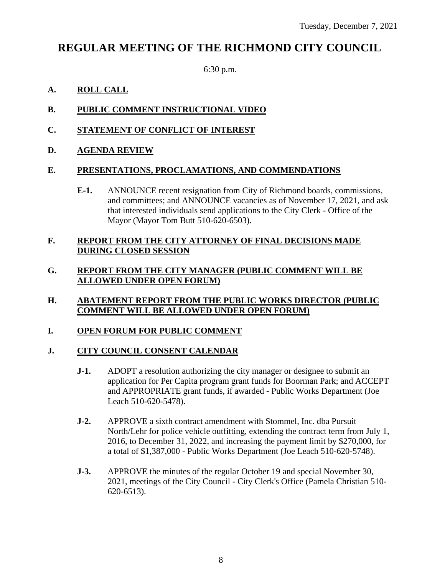## **REGULAR MEETING OF THE RICHMOND CITY COUNCIL**

6:30 p.m.

## **A. ROLL CALL**

- **B. PUBLIC COMMENT INSTRUCTIONAL VIDEO**
- **C. STATEMENT OF CONFLICT OF INTEREST**
- **D. AGENDA REVIEW**

## **E. PRESENTATIONS, PROCLAMATIONS, AND COMMENDATIONS**

**E-1.** ANNOUNCE recent resignation from City of Richmond boards, commissions, and committees; and ANNOUNCE vacancies as of November 17, 2021, and ask that interested individuals send applications to the City Clerk - Office of the Mayor (Mayor Tom Butt 510-620-6503).

## **F. REPORT FROM THE CITY ATTORNEY OF FINAL DECISIONS MADE DURING CLOSED SESSION**

## **G. REPORT FROM THE CITY MANAGER (PUBLIC COMMENT WILL BE ALLOWED UNDER OPEN FORUM)**

**H. ABATEMENT REPORT FROM THE PUBLIC WORKS DIRECTOR (PUBLIC COMMENT WILL BE ALLOWED UNDER OPEN FORUM)**

## **I. OPEN FORUM FOR PUBLIC COMMENT**

## **J. CITY COUNCIL CONSENT CALENDAR**

- **J-1.** ADOPT a resolution authorizing the city manager or designee to submit an application for Per Capita program grant funds for Boorman Park; and ACCEPT and APPROPRIATE grant funds, if awarded - Public Works Department (Joe Leach 510-620-5478).
- **J-2.** APPROVE a sixth contract amendment with Stommel, Inc. dba Pursuit North/Lehr for police vehicle outfitting, extending the contract term from July 1, 2016, to December 31, 2022, and increasing the payment limit by \$270,000, for a total of \$1,387,000 - Public Works Department (Joe Leach 510-620-5748).
- **J-3.** APPROVE the minutes of the regular October 19 and special November 30, 2021, meetings of the City Council - City Clerk's Office (Pamela Christian 510- 620-6513).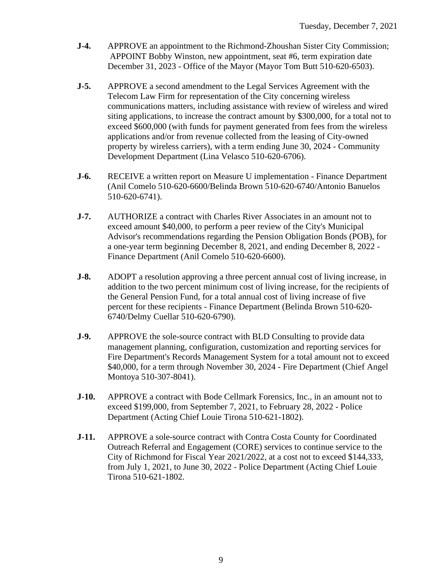- **J-4.** APPROVE an appointment to the Richmond-Zhoushan Sister City Commission; APPOINT Bobby Winston, new appointment, seat #6, term expiration date December 31, 2023 - Office of the Mayor (Mayor Tom Butt 510-620-6503).
- **J-5.** APPROVE a second amendment to the Legal Services Agreement with the Telecom Law Firm for representation of the City concerning wireless communications matters, including assistance with review of wireless and wired siting applications, to increase the contract amount by \$300,000, for a total not to exceed \$600,000 (with funds for payment generated from fees from the wireless applications and/or from revenue collected from the leasing of City-owned property by wireless carriers), with a term ending June 30, 2024 - Community Development Department (Lina Velasco 510-620-6706).
- **J-6.** RECEIVE a written report on Measure U implementation Finance Department (Anil Comelo 510-620-6600/Belinda Brown 510-620-6740/Antonio Banuelos 510-620-6741).
- **J-7.** AUTHORIZE a contract with Charles River Associates in an amount not to exceed amount \$40,000, to perform a peer review of the City's Municipal Advisor's recommendations regarding the Pension Obligation Bonds (POB), for a one-year term beginning December 8, 2021, and ending December 8, 2022 - Finance Department (Anil Comelo 510-620-6600).
- **J-8.** ADOPT a resolution approving a three percent annual cost of living increase, in addition to the two percent minimum cost of living increase, for the recipients of the General Pension Fund, for a total annual cost of living increase of five percent for these recipients - Finance Department (Belinda Brown 510-620- 6740/Delmy Cuellar 510-620-6790).
- **J-9.** APPROVE the sole-source contract with BLD Consulting to provide data management planning, configuration, customization and reporting services for Fire Department's Records Management System for a total amount not to exceed \$40,000, for a term through November 30, 2024 - Fire Department (Chief Angel Montoya 510-307-8041).
- **J-10.** APPROVE a contract with Bode Cellmark Forensics, Inc., in an amount not to exceed \$199,000, from September 7, 2021, to February 28, 2022 - Police Department (Acting Chief Louie Tirona 510-621-1802).
- **J-11.** APPROVE a sole-source contract with Contra Costa County for Coordinated Outreach Referral and Engagement (CORE) services to continue service to the City of Richmond for Fiscal Year 2021/2022, at a cost not to exceed \$144,333, from July 1, 2021, to June 30, 2022 - Police Department (Acting Chief Louie Tirona 510-621-1802.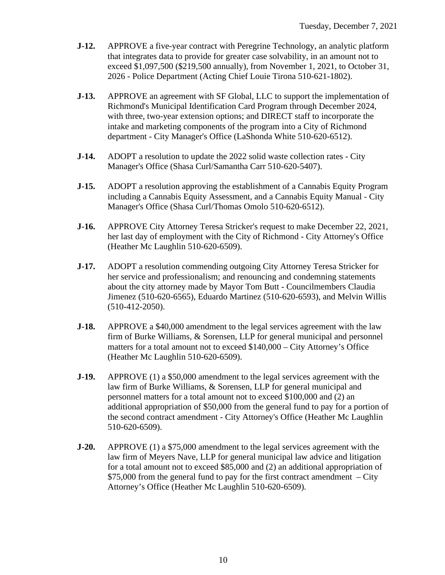- **J-12.** APPROVE a five-year contract with Peregrine Technology, an analytic platform that integrates data to provide for greater case solvability, in an amount not to exceed \$1,097,500 (\$219,500 annually), from November 1, 2021, to October 31, 2026 - Police Department (Acting Chief Louie Tirona 510-621-1802).
- **J-13.** APPROVE an agreement with SF Global, LLC to support the implementation of Richmond's Municipal Identification Card Program through December 2024, with three, two-year extension options; and DIRECT staff to incorporate the intake and marketing components of the program into a City of Richmond department - City Manager's Office (LaShonda White 510-620-6512).
- **J-14.** ADOPT a resolution to update the 2022 solid waste collection rates City Manager's Office (Shasa Curl/Samantha Carr 510-620-5407).
- **J-15.** ADOPT a resolution approving the establishment of a Cannabis Equity Program including a Cannabis Equity Assessment, and a Cannabis Equity Manual - City Manager's Office (Shasa Curl/Thomas Omolo 510-620-6512).
- **J-16.** APPROVE City Attorney Teresa Stricker's request to make December 22, 2021, her last day of employment with the City of Richmond - City Attorney's Office (Heather Mc Laughlin 510-620-6509).
- **J-17.** ADOPT a resolution commending outgoing City Attorney Teresa Stricker for her service and professionalism; and renouncing and condemning statements about the city attorney made by Mayor Tom Butt - Councilmembers Claudia Jimenez (510-620-6565), Eduardo Martinez (510-620-6593), and Melvin Willis (510-412-2050).
- **J-18.** APPROVE a \$40,000 amendment to the legal services agreement with the law firm of Burke Williams, & Sorensen, LLP for general municipal and personnel matters for a total amount not to exceed \$140,000 – City Attorney's Office (Heather Mc Laughlin 510-620-6509).
- **J-19.** APPROVE (1) a \$50,000 amendment to the legal services agreement with the law firm of Burke Williams, & Sorensen, LLP for general municipal and personnel matters for a total amount not to exceed \$100,000 and (2) an additional appropriation of \$50,000 from the general fund to pay for a portion of the second contract amendment - City Attorney's Office (Heather Mc Laughlin 510-620-6509).
- **J-20.** APPROVE (1) a \$75,000 amendment to the legal services agreement with the law firm of Meyers Nave, LLP for general municipal law advice and litigation for a total amount not to exceed \$85,000 and (2) an additional appropriation of \$75,000 from the general fund to pay for the first contract amendment – City Attorney's Office (Heather Mc Laughlin 510-620-6509).